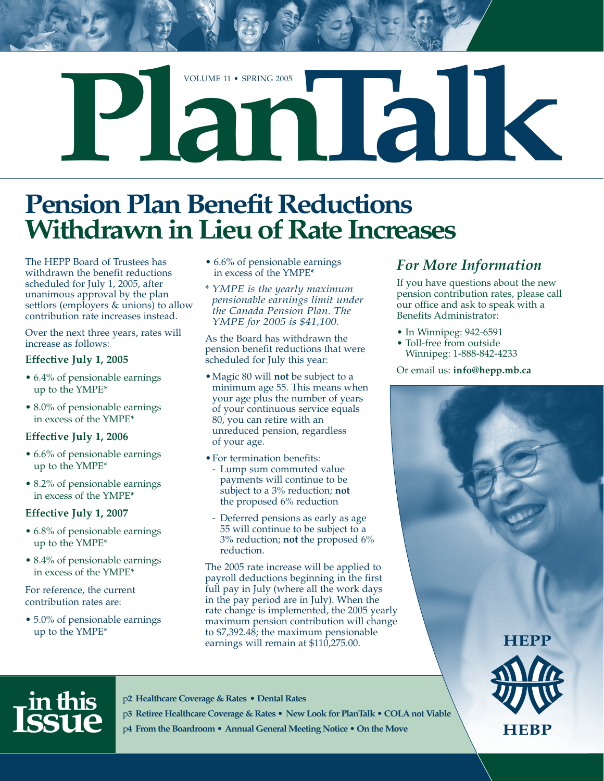

# **Pension Plan Benefit Reductions Withdrawn in Lieu of Rate Increases**

The HEPP Board of Trustees has withdrawn the benefit reductions scheduled for July 1, 2005, after unanimous approval by the plan settlors (employers & unions) to allow contribution rate increases instead.

Over the next three years, rates will increase as follows:

#### **Effective July 1, 2005**

- 6.4% of pensionable earnings up to the YMPE\*
- 8.0% of pensionable earnings in excess of the YMPE\*

#### **Effective July 1, 2006**

- 6.6% of pensionable earnings up to the YMPE\*
- 8.2% of pensionable earnings in excess of the YMPE\*

#### **Effective July 1, 2007**

- 6.8% of pensionable earnings up to the YMPE\*
- 8.4% of pensionable earnings in excess of the YMPE\*

For reference, the current contribution rates are:

• 5.0% of pensionable earnings up to the YMPE\*

- 6.6% of pensionable earnings in excess of the YMPE\*
- \* *YMPE is the yearly maximum pensionable earnings limit under the Canada Pension Plan. The YMPE for 2005 is \$41,100.*

As the Board has withdrawn the pension benefit reductions that were scheduled for July this year:

- •Magic 80 will **not** be subject to a minimum age 55. This means when your age plus the number of years of your continuous service equals 80, you can retire with an unreduced pension, regardless of your age.
- For termination benefits: - Lump sum commuted value payments will continue to be subject to a 3% reduction; **not** the proposed 6% reduction
- Deferred pensions as early as age 55 will continue to be subject to a 3% reduction; **not** the proposed 6% reduction.

The 2005 rate increase will be applied to payroll deductions beginning in the first full pay in July (where all the work days in the pay period are in July). When the rate change is implemented, the 2005 yearly maximum pension contribution will change to \$7,392.48; the maximum pensionable earnings will remain at \$110,275.00.

### *For More Information*

If you have questions about the new pension contribution rates, please call our office and ask to speak with a Benefits Administrator:

- In Winnipeg: 942-6591
- Toll-free from outside Winnipeg: 1-888-842-4233

Or email us: **info@hepp.mb.ca**

**HEPP** 



p**2 Healthcare Coverage & Rates • Dental Rates**

**in this Issue**

p**3 Retiree Healthcare Coverage & Rates • New Look for PlanTalk • COLA not Viable** p**4 From the Boardroom • Annual General Meeting Notice • On the Move**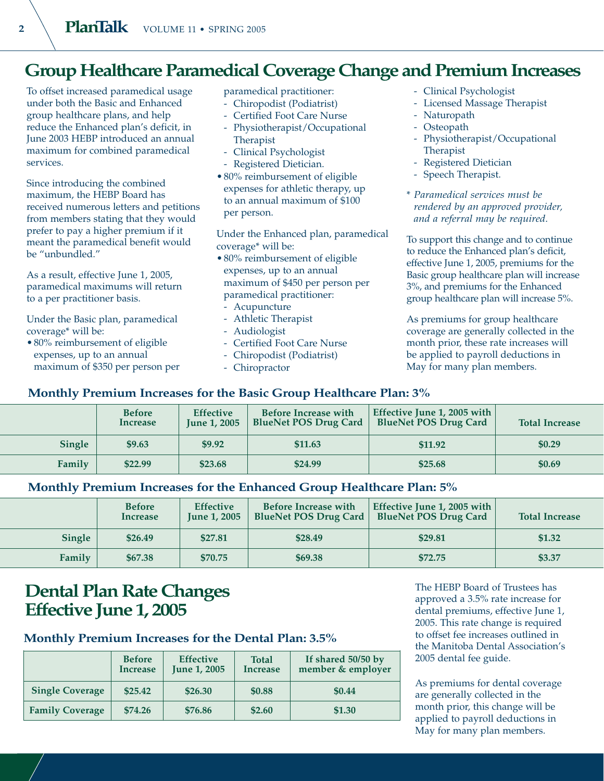### **Group Healthcare Paramedical Coverage Change and Premium Increases**

To offset increased paramedical usage under both the Basic and Enhanced group healthcare plans, and help reduce the Enhanced plan's deficit, in June 2003 HEBP introduced an annual maximum for combined paramedical services.

Since introducing the combined maximum, the HEBP Board has received numerous letters and petitions from members stating that they would prefer to pay a higher premium if it meant the paramedical benefit would be "unbundled."

As a result, effective June 1, 2005, paramedical maximums will return to a per practitioner basis.

Under the Basic plan, paramedical coverage\* will be:

• 80% reimbursement of eligible expenses, up to an annual maximum of \$350 per person per paramedical practitioner:

- Chiropodist (Podiatrist)
- Certified Foot Care Nurse
- Physiotherapist/Occupational Therapist
- Clinical Psychologist
- Registered Dietician.
- 80% reimbursement of eligible expenses for athletic therapy, up to an annual maximum of \$100 per person.

Under the Enhanced plan, paramedical coverage\* will be:

- 80% reimbursement of eligible expenses, up to an annual maximum of \$450 per person per paramedical practitioner:
	- Acupuncture
- Athletic Therapist
- Audiologist
- Certified Foot Care Nurse
- Chiropodist (Podiatrist)
- Chiropractor
- Clinical Psychologist
- Licensed Massage Therapist
- Naturopath
- Osteopath
- Physiotherapist/Occupational Therapist
- Registered Dietician
- Speech Therapist.
- \* *Paramedical services must be rendered by an approved provider, and a referral may be required.*

To support this change and to continue to reduce the Enhanced plan's deficit, effective June 1, 2005, premiums for the Basic group healthcare plan will increase 3%, and premiums for the Enhanced group healthcare plan will increase 5%.

As premiums for group healthcare coverage are generally collected in the month prior, these rate increases will be applied to payroll deductions in May for many plan members.

#### **Monthly Premium Increases for the Basic Group Healthcare Plan: 3% Before Increase Effective June 1, 2005 Before Increase with BlueNet POS Drug Card Effective June 1, 2005 with BlueNet POS Drug Card**

|               | before<br>Increase | <b>Effective</b><br><b>June 1, 2005</b> | before increase with<br><b>BlueNet POS Drug Card</b> | Effective june 1, 2005 with<br><b>BlueNet POS Drug Card</b> | <b>Total Increase</b> |
|---------------|--------------------|-----------------------------------------|------------------------------------------------------|-------------------------------------------------------------|-----------------------|
| <b>Single</b> | \$9.63             | \$9.92                                  | \$11.63                                              | \$11.92                                                     | \$0.29                |
| Family        | \$22.99            | \$23.68                                 | \$24.99                                              | \$25.68                                                     | \$0.69                |

#### **Monthly Premium Increases for the Enhanced Group Healthcare Plan: 5%**

|        | <b>Before</b><br>Increase | <b>Effective</b><br><b>Iune 1, 2005</b> | <b>Before Increase with</b><br><b>BlueNet POS Drug Card</b> | Effective June 1, 2005 with<br><b>BlueNet POS Drug Card</b> | <b>Total Increase</b> |
|--------|---------------------------|-----------------------------------------|-------------------------------------------------------------|-------------------------------------------------------------|-----------------------|
| Single | \$26.49                   | \$27.81                                 | \$28.49                                                     | \$29.81                                                     | \$1.32                |
| Family | \$67.38                   | \$70.75                                 | \$69.38                                                     | \$72.75                                                     | \$3.37                |

### **Dental Plan Rate Changes Effective June 1, 2005**

#### **Monthly Premium Increases for the Dental Plan: 3.5%**

|                        | <b>Before</b><br><b>Increase</b> | <b>Effective</b><br><b>June 1, 2005</b> | <b>Total</b><br><b>Increase</b> | If shared 50/50 by<br>member & employer |
|------------------------|----------------------------------|-----------------------------------------|---------------------------------|-----------------------------------------|
| <b>Single Coverage</b> | \$25.42                          | \$26.30                                 | \$0.88                          | \$0.44                                  |
| <b>Family Coverage</b> | \$74.26                          | \$76.86                                 | \$2.60                          | \$1.30                                  |

The HEBP Board of Trustees has approved a 3.5% rate increase for dental premiums, effective June 1, 2005. This rate change is required to offset fee increases outlined in the Manitoba Dental Association's 2005 dental fee guide.

As premiums for dental coverage are generally collected in the month prior, this change will be applied to payroll deductions in May for many plan members.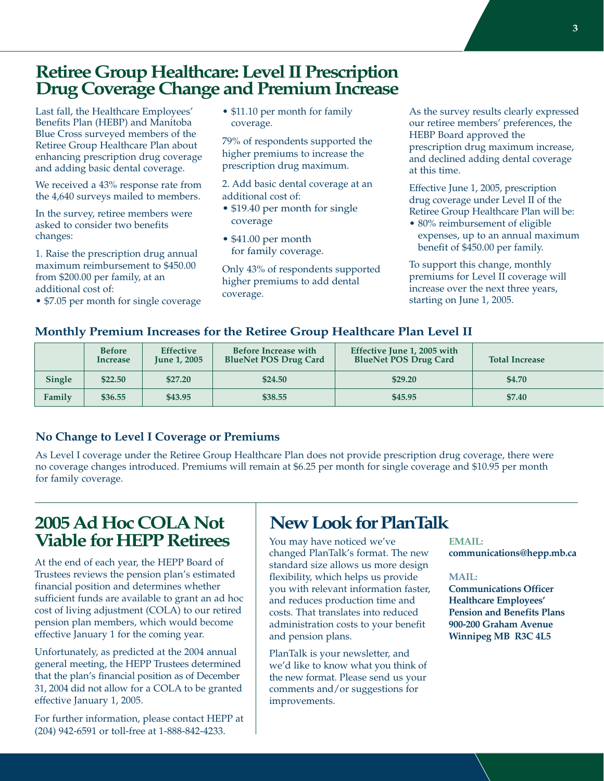### **Retiree Group Healthcare: Level II Prescription Drug Coverage Change and Premium Increase**

Last fall, the Healthcare Employees' Benefits Plan (HEBP) and Manitoba Blue Cross surveyed members of the Retiree Group Healthcare Plan about enhancing prescription drug coverage and adding basic dental coverage.

We received a 43% response rate from the 4,640 surveys mailed to members.

In the survey, retiree members were asked to consider two benefits changes:

1. Raise the prescription drug annual maximum reimbursement to \$450.00 from \$200.00 per family, at an additional cost of:

• \$7.05 per month for single coverage

• \$11.10 per month for family coverage.

79% of respondents supported the higher premiums to increase the prescription drug maximum.

2. Add basic dental coverage at an additional cost of:

- \$19.40 per month for single coverage
- \$41.00 per month for family coverage.

Only 43% of respondents supported higher premiums to add dental coverage.

As the survey results clearly expressed our retiree members' preferences, the HEBP Board approved the prescription drug maximum increase, and declined adding dental coverage at this time.

Effective June 1, 2005, prescription drug coverage under Level II of the Retiree Group Healthcare Plan will be:

• 80% reimbursement of eligible expenses, up to an annual maximum benefit of \$450.00 per family.

To support this change, monthly premiums for Level II coverage will increase over the next three years, starting on June 1, 2005.

#### **Monthly Premium Increases for the Retiree Group Healthcare Plan Level II**

|        | <b>Before</b><br>Increase | <b>Effective</b><br><b>June 1, 2005</b> | Before Increase with<br><b>BlueNet POS Drug Card</b> | Effective June 1, 2005 with<br><b>BlueNet POS Drug Card</b> | <b>Total Increase</b> |
|--------|---------------------------|-----------------------------------------|------------------------------------------------------|-------------------------------------------------------------|-----------------------|
| Single | \$22.50                   | \$27.20                                 | \$24.50                                              | \$29.20                                                     | \$4.70                |
| Family | \$36.55                   | \$43.95                                 | \$38.55                                              | \$45.95                                                     | \$7.40                |

#### **No Change to Level I Coverage or Premiums**

As Level I coverage under the Retiree Group Healthcare Plan does not provide prescription drug coverage, there were no coverage changes introduced. Premiums will remain at \$6.25 per month for single coverage and \$10.95 per month for family coverage.

### **2005 Ad Hoc COLANot Viable for HEPP Retirees**

At the end of each year, the HEPP Board of Trustees reviews the pension plan's estimated financial position and determines whether sufficient funds are available to grant an ad hoc cost of living adjustment (COLA) to our retired pension plan members, which would become effective January 1 for the coming year.

Unfortunately, as predicted at the 2004 annual general meeting, the HEPP Trustees determined that the plan's financial position as of December 31, 2004 did not allow for a COLA to be granted effective January 1, 2005.

For further information, please contact HEPP at (204) 942-6591 or toll-free at 1-888-842-4233.

### **New Look for PlanTalk**

You may have noticed we've changed PlanTalk's format. The new standard size allows us more design flexibility, which helps us provide you with relevant information faster, and reduces production time and costs. That translates into reduced administration costs to your benefit and pension plans.

PlanTalk is your newsletter, and we'd like to know what you think of the new format. Please send us your comments and/or suggestions for improvements.

#### **EMAIL:**

**communications@hepp.mb.ca**

#### **MAIL:**

**Communications Officer Healthcare Employees' Pension and Benefits Plans 900-200 Graham Avenue Winnipeg MB R3C 4L5**